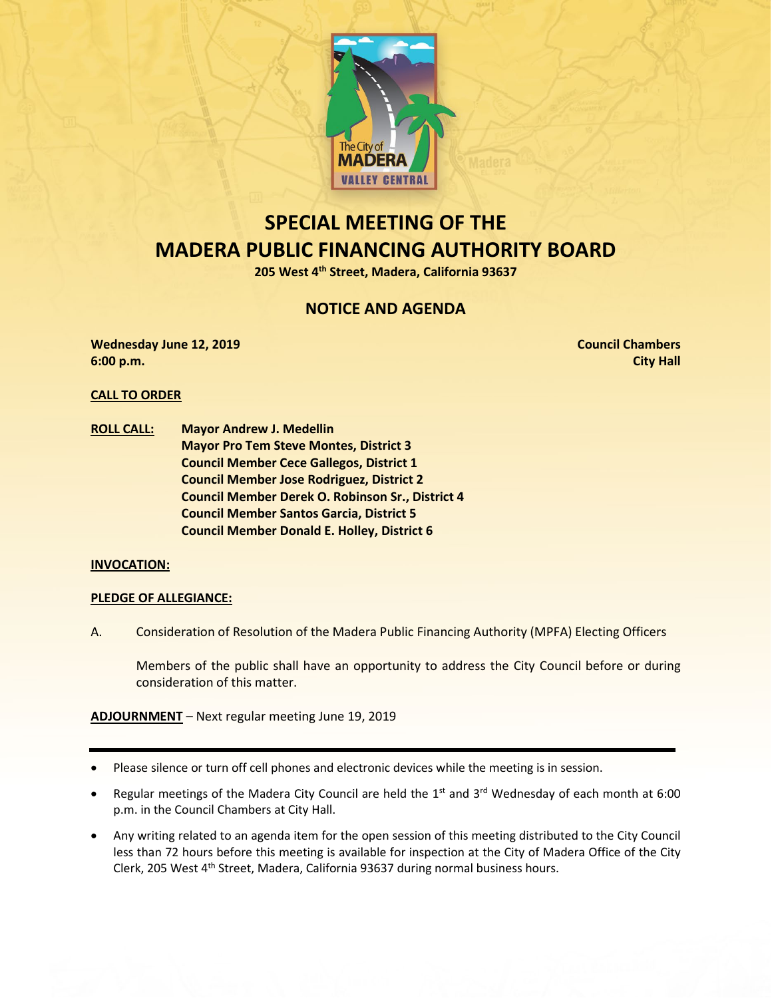

# **SPECIAL MEETING OF THE MADERA PUBLIC FINANCING AUTHORITY BOARD**

**205 West 4th Street, Madera, California 93637**

## **NOTICE AND AGENDA**

**Wednesday June 12, 2019 Council Chambers 6:00 p.m. City Hall**

### **CALL TO ORDER**

**ROLL CALL: Mayor Andrew J. Medellin Mayor Pro Tem Steve Montes, District 3 Council Member Cece Gallegos, District 1 Council Member Jose Rodriguez, District 2 Council Member Derek O. Robinson Sr., District 4 Council Member Santos Garcia, District 5 Council Member Donald E. Holley, District 6**

### **INVOCATION:**

### **PLEDGE OF ALLEGIANCE:**

A. Consideration of Resolution of the Madera Public Financing Authority (MPFA) Electing Officers

Members of the public shall have an opportunity to address the City Council before or during consideration of this matter.

**ADJOURNMENT** – Next regular meeting June 19, 2019

- Please silence or turn off cell phones and electronic devices while the meeting is in session.
- Regular meetings of the Madera City Council are held the  $1<sup>st</sup>$  and  $3<sup>rd</sup>$  Wednesday of each month at 6:00 p.m. in the Council Chambers at City Hall.
- Any writing related to an agenda item for the open session of this meeting distributed to the City Council less than 72 hours before this meeting is available for inspection at the City of Madera Office of the City Clerk, 205 West 4th Street, Madera, California 93637 during normal business hours.